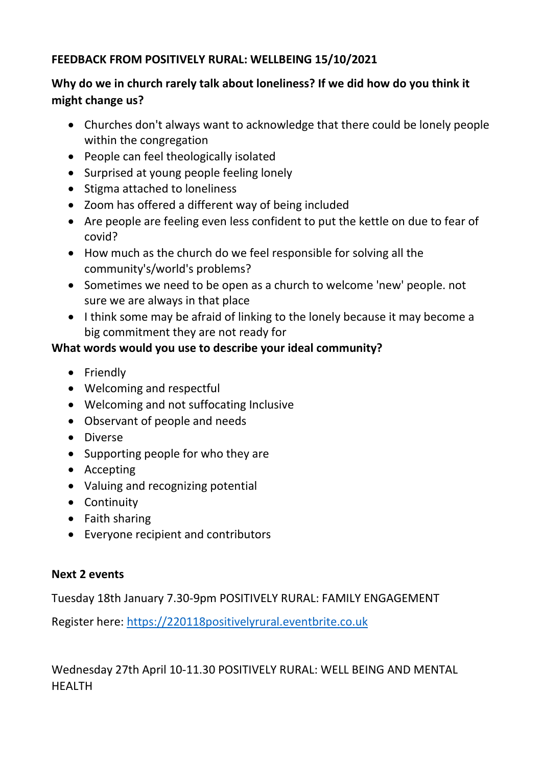#### **FEEDBACK FROM POSITIVELY RURAL: WELLBEING 15/10/2021**

# **Why do we in church rarely talk about loneliness? If we did how do you think it might change us?**

- Churches don't always want to acknowledge that there could be lonely people within the congregation
- People can feel theologically isolated
- Surprised at young people feeling lonely
- Stigma attached to loneliness
- Zoom has offered a different way of being included
- Are people are feeling even less confident to put the kettle on due to fear of covid?
- How much as the church do we feel responsible for solving all the community's/world's problems?
- Sometimes we need to be open as a church to welcome 'new' people. not sure we are always in that place
- I think some may be afraid of linking to the lonely because it may become a big commitment they are not ready for

# **What words would you use to describe your ideal community?**

- Friendly
- Welcoming and respectful
- Welcoming and not suffocating Inclusive
- Observant of people and needs
- Diverse
- Supporting people for who they are
- Accepting
- Valuing and recognizing potential
- Continuity
- Faith sharing
- Everyone recipient and contributors

# **Next 2 events**

Tuesday 18th January 7.30-9pm POSITIVELY RURAL: FAMILY ENGAGEMENT

Register here: [https://220118positivelyrural.eventbrite.co.uk](https://220118positivelyrural.eventbrite.co.uk/)

Wednesday 27th April 10-11.30 POSITIVELY RURAL: WELL BEING AND MENTAL HEALTH